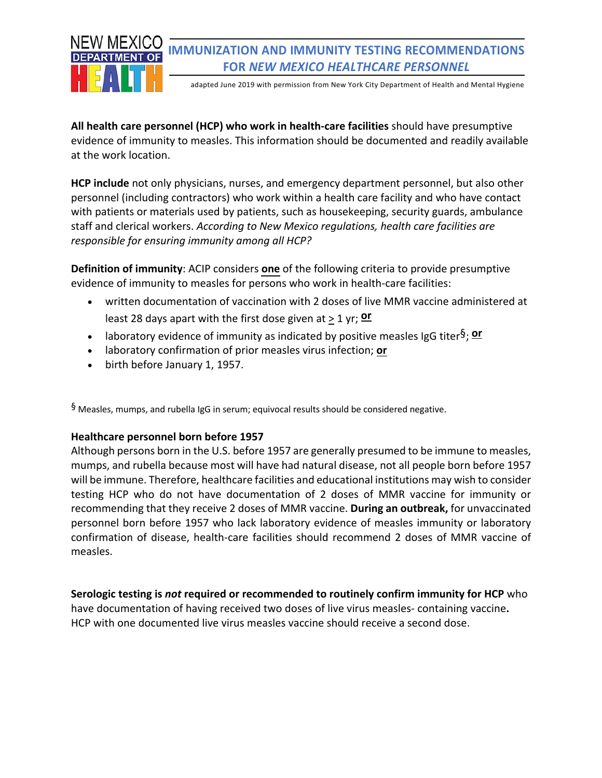

## **IMMUNIZATION AND IMMUNITY TESTING RECOMMENDATIONS FOR** *NEW MEXICO HEALTHCARE PERSONNEL*

adapted June 2019 with permission from New York City Department of Health and Mental Hygiene

**All health care personnel (HCP) who work in health-care facilities** should have presumptive evidence of immunity to measles. This information should be documented and readily available at the work location.

**HCP include** not only physicians, nurses, and emergency department personnel, but also other personnel (including contractors) who work within a health care facility and who have contact with patients or materials used by patients, such as housekeeping, security guards, ambulance staff and clerical workers. *According to New Mexico regulations, health care facilities are responsible for ensuring immunity among all HCP?*

**Definition of immunity**: ACIP considers **one** of the following criteria to provide presumptive evidence of immunity to measles for persons who work in health-care facilities:

- written documentation of vaccination with 2 doses of live MMR vaccine administered at least 28 days apart with the first dose given at  $\geq 1$  yr; **or**
- laboratory evidence of immunity as indicated by positive measles IgG titer§; **or**
- laboratory confirmation of prior measles virus infection; **or**
- birth before January 1, 1957.

§ Measles, mumps, and rubella IgG in serum; equivocal results should be considered negative.

## **Healthcare personnel born before 1957**

Although persons born in the U.S. before 1957 are generally presumed to be immune to measles, mumps, and rubella because most will have had natural disease, not all people born before 1957 will be immune. Therefore, healthcare facilities and educational institutions may wish to consider testing HCP who do not have documentation of 2 doses of MMR vaccine for immunity or recommending that they receive 2 doses of MMR vaccine. **During an outbreak,** for unvaccinated personnel born before 1957 who lack laboratory evidence of measles immunity or laboratory confirmation of disease, health-care facilities should recommend 2 doses of MMR vaccine of measles.

**Serologic testing is** *not* **required or recommended to routinely confirm immunity for HCP** who have documentation of having received two doses of live virus measles- containing vaccine**.**  HCP with one documented live virus measles vaccine should receive a second dose.